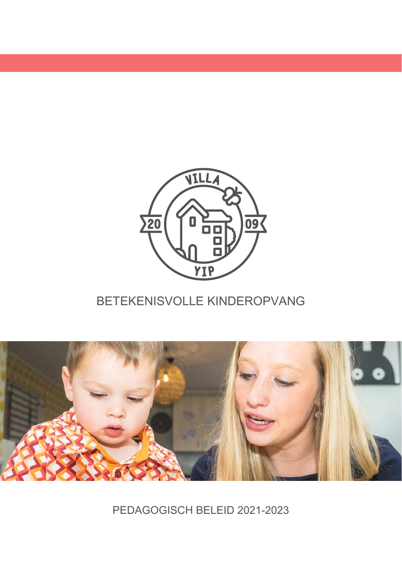

# BETEKENISVOLLE KINDEROPVANG



PEDAGOGISCH BELEID 2021-2023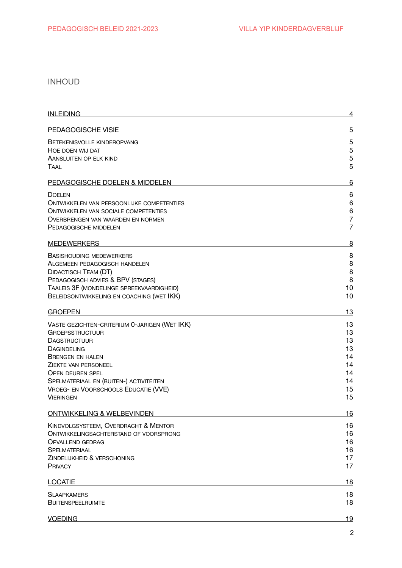## **INHOUD**

| <b>INLEIDING</b>                                                                                                                                                                                                                                                                                          | 4                                                        |
|-----------------------------------------------------------------------------------------------------------------------------------------------------------------------------------------------------------------------------------------------------------------------------------------------------------|----------------------------------------------------------|
| PEDAGOGISCHE VISIE                                                                                                                                                                                                                                                                                        | $\overline{5}$                                           |
| BETEKENISVOLLE KINDEROPVANG<br>HOE DOEN WIJ DAT<br>AANSLUITEN OP ELK KIND<br>TAAL                                                                                                                                                                                                                         | 5<br>$\mathbf 5$<br>5<br>5                               |
| PEDAGOGISCHE DOELEN & MIDDELEN                                                                                                                                                                                                                                                                            | 6                                                        |
| <b>DOELEN</b><br><b>ONTWIKKELEN VAN PERSOONLIJKE COMPETENTIES</b><br><b>ONTWIKKELEN VAN SOCIALE COMPETENTIES</b><br>OVERBRENGEN VAN WAARDEN EN NORMEN<br>PEDAGOGISCHE MIDDELEN                                                                                                                            | 6<br>$\,6$<br>$\,6$<br>$\overline{7}$<br>$\overline{7}$  |
| <b>MEDEWERKERS</b>                                                                                                                                                                                                                                                                                        | 8                                                        |
| <b>BASISHOUDING MEDEWERKERS</b><br>ALGEMEEN PEDAGOGISCH HANDELEN<br><b>DIDACTISCH TEAM (DT)</b><br>PEDAGOGISCH ADVIES & BPV (STAGES)<br>TAALEIS 3F (MONDELINGE SPREEKVAARDIGHEID)<br>BELEIDSONTWIKKELING EN COACHING (WET IKK)                                                                            | 8<br>8<br>8<br>8<br>10<br>10                             |
| <b>GROEPEN</b>                                                                                                                                                                                                                                                                                            | 13                                                       |
| VASTE GEZICHTEN-CRITERIUM 0-JARIGEN (WET IKK)<br><b>GROEPSSTRUCTUUR</b><br><b>DAGSTRUCTUUR</b><br><b>DAGINDELING</b><br><b>BRENGEN EN HALEN</b><br>ZIEKTE VAN PERSONEEL<br><b>OPEN DEUREN SPEL</b><br>SPELMATERIAAL EN (BUITEN-) ACTIVITEITEN<br>VROEG- EN VOORSCHOOLS EDUCATIE (VVE)<br><b>VIERINGEN</b> | 13<br>13<br>13<br>13<br>14<br>14<br>14<br>14<br>15<br>15 |
| ONTWIKKELING & WELBEVINDEN                                                                                                                                                                                                                                                                                | 16                                                       |
| KINDVOLGSYSTEEM, OVERDRACHT & MENTOR<br>ONTWIKKELINGSACHTERSTAND OF VOORSPRONG<br><b>OPVALLEND GEDRAG</b><br><b>SPELMATERIAAL</b><br>ZINDELIJKHEID & VERSCHONING<br><b>PRIVACY</b>                                                                                                                        | 16<br>16<br>16<br>16<br>17<br>17                         |
| <b>LOCATIE</b>                                                                                                                                                                                                                                                                                            | 18                                                       |
| <b>SLAAPKAMERS</b><br><b>BUITENSPEELRUIMTE</b>                                                                                                                                                                                                                                                            | 18<br>18                                                 |
| <b>VOEDING</b>                                                                                                                                                                                                                                                                                            | <u> 19</u>                                               |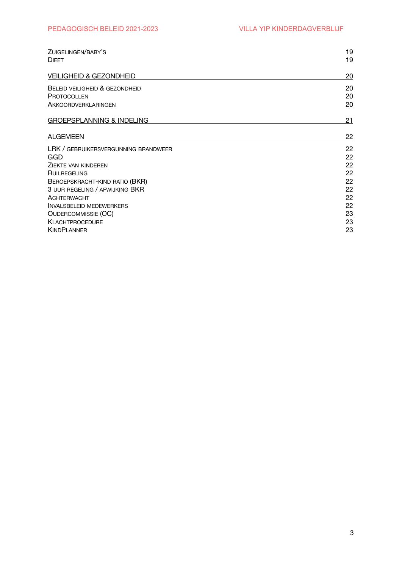| ZUIGELINGEN/BABY'S<br><b>DIEET</b>   | 19<br>19 |
|--------------------------------------|----------|
| <b>VEILIGHEID &amp; GEZONDHEID</b>   | 20       |
| BELEID VEILIGHEID & GEZONDHEID       | 20       |
| <b>PROTOCOLLEN</b>                   | 20       |
| AKKOORDVERKLARINGEN                  | 20       |
| <b>GROEPSPLANNING &amp; INDELING</b> | 21       |
| <b>ALGEMEEN</b>                      | 22       |
| LRK / GEBRUIKERSVERGUNNING BRANDWEER | 22       |
| <b>GGD</b>                           | 22       |
| ZIEKTE VAN KINDEREN                  | 22       |
| <b>RUILREGELING</b>                  | 22       |
| BEROEPSKRACHT-KIND RATIO (BKR)       | 22       |
| 3 UUR REGELING / AFWIJKING BKR       | 22       |
| <b>ACHTERWACHT</b>                   | 22       |
| <b>INVALSBELEID MEDEWERKERS</b>      | 22       |
| <b>OUDERCOMMISSIE (OC)</b>           | 23       |
| <b>KLACHTPROCEDURE</b>               | 23       |
| <b>KINDPLANNER</b>                   | 23       |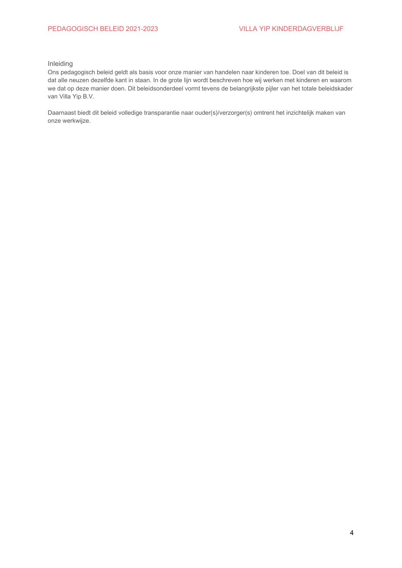## <span id="page-3-0"></span>Inleiding

Ons pedagogisch beleid geldt als basis voor onze manier van handelen naar kinderen toe. Doel van dit beleid is dat alle neuzen dezelfde kant in staan. In de grote lijn wordt beschreven hoe wij werken met kinderen en waarom we dat op deze manier doen. Dit beleidsonderdeel vormt tevens de belangrijkste pijler van het totale beleidskader van Villa Yip B.V.

Daarnaast biedt dit beleid volledige transparantie naar ouder(s)/verzorger(s) omtrent het inzichtelijk maken van onze werkwijze.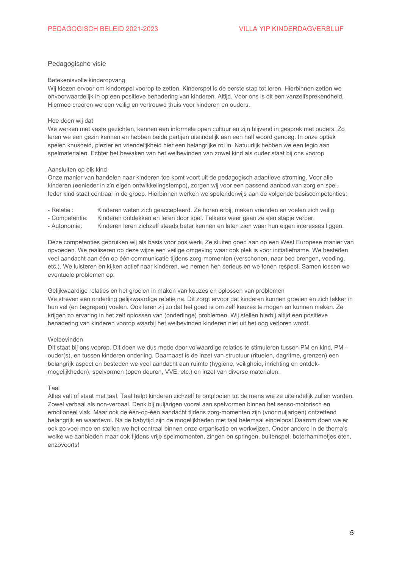## <span id="page-4-0"></span>Pedagogische visie

#### <span id="page-4-1"></span>Betekenisvolle kinderopvang

Wij kiezen ervoor om kinderspel voorop te zetten. Kinderspel is de eerste stap tot leren. Hierbinnen zetten we onvoorwaardelijk in op een positieve benadering van kinderen. Altijd. Voor ons is dit een vanzelfsprekendheid. Hiermee creëren we een veilig en vertrouwd thuis voor kinderen en ouders.

#### <span id="page-4-2"></span>Hoe doen wij dat

We werken met vaste gezichten, kennen een informele open cultuur en zijn blijvend in gesprek met ouders. Zo leren we een gezin kennen en hebben beide partijen uiteindelijk aan een half woord genoeg. In onze optiek spelen knusheid, plezier en vriendelijkheid hier een belangrijke rol in. Natuurlijk hebben we een legio aan spelmaterialen. Echter het bewaken van het welbevinden van zowel kind als ouder staat bij ons voorop.

#### <span id="page-4-3"></span>Aansluiten op elk kind

Onze manier van handelen naar kinderen toe komt voort uit de pedagogisch adaptieve stroming. Voor alle kinderen (eenieder in z'n eigen ontwikkelingstempo), zorgen wij voor een passend aanbod van zorg en spel. leder kind staat centraal in de groep. Hierbinnen werken we spelenderwijs aan de volgende basiscompetenties:

- Relatie: Kinderen weten zich geaccepteerd. Ze horen erbij, maken vrienden en voelen zich veilig.
- Competentie: Kinderen ontdekken en leren door spel. Telkens weer gaan ze een stapje verder.
- Autonomie: Kinderen leren zichzelf steeds beter kennen en laten zien waar hun eigen interesses liggen.

Deze competenties gebruiken wij als basis voor ons werk. Ze sluiten goed aan op een West Europese manier van opyoeden. We realiseren op deze wijze een veilige omgeving waar ook plek is voor initiatiefname. We besteden veel aandacht aan één op één communicatie tijdens zorg-momenten (verschonen, naar bed brengen, voeding, etc.). We luisteren en kijken actief naar kinderen, we nemen hen serieus en we tonen respect. Samen lossen we eventuele problemen op.

Gelijkwaardige relaties en het groeien in maken van keuzes en oplossen van problemen We streven een onderling gelijkwaardige relatie na. Dit zorgt ervoor dat kinderen kunnen groeien en zich lekker in hun vel (en begrepen) voelen. Ook leren zij zo dat het goed is om zelf keuzes te mogen en kunnen maken. Ze krijgen zo ervaring in het zelf oplossen van (onderlinge) problemen. Wij stellen hierbij altijd een positieve benadering van kinderen voorop waarbij het welbevinden kinderen niet uit het oog verloren wordt.

## Welbevinden

Dit staat bij ons voorop. Dit doen we dus mede door volwaardige relaties te stimuleren tussen PM en kind, PM ouder(s), en tussen kinderen onderling. Daarnaast is de inzet van structuur (rituelen, dagritme, grenzen) een belangrijk aspect en besteden we veel aandacht aan ruimte (hygiëne, veiligheid, inrichting en ontdekmogelijkheden), spelvormen (open deuren, VVE, etc.) en inzet van diverse materialen.

#### <span id="page-4-4"></span>Taal

Alles valt of staat met taal. Taal helpt kinderen zichzelf te ontploojen tot de mens wie ze uiteindelijk zullen worden. Zowel verbaal als non-verbaal. Denk bij nuljarigen vooral aan spelvormen binnen het senso-motorisch en emotioneel vlak. Maar ook de één-op-één aandacht tijdens zorg-momenten zijn (voor nuliarigen) ontzettend belangrijk en waardevol. Na de babytijd zijn de mogelijkheden met taal helemaal eindeloos! Daarom doen we er ook zo veel mee en stellen we het centraal binnen onze organisatie en werkwijzen. Onder andere in de thema's welke we aanbieden maar ook tijdens vrije spelmomenten, zingen en springen, buitenspel, boterhammetjes eten, enzovoorts!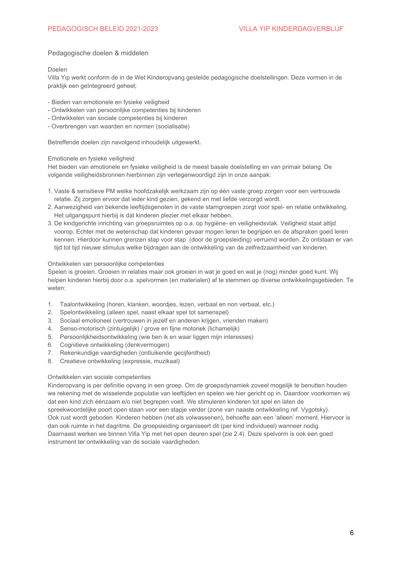## <span id="page-5-0"></span>Pedagogische doelen & middelen

<span id="page-5-1"></span>Doelen

Villa Yip werkt conform de in de Wet Kinderopvang gestelde pedagogische doelstellingen. Deze vormen in de praktijk een geïntegreerd geheel;

- Bieden van emotionele en fysieke veiligheid
- Ontwikkelen van persoonlijke competenties bij kinderen
- Ontwikkelen van sociale competenties bij kinderen
- Overbrengen van waarden en normen (socialisatie)

Betreffende doelen zijn navolgend inhoudelijk uitgewerkt.

## Emotionele en fysieke veiligheid

Het bieden van emotionele en fysieke veiligheid is de meest basale doelstelling en van primair belang. De volgende veiligheidsbronnen hierbinnen zijn vertegenwoordigd zijn in onze aanpak:

- 1. Vaste & sensitieve PM welke hoofdzakelijk werkzaam zijn op één vaste groep zorgen voor een vertrouwde relatie. Zij zorgen ervoor dat ieder kind gezien, gekend en met liefde verzorgd wordt.
- 2. Aanwezigheid van bekende leeftijdsgenoten in de vaste stamgroepen zorgt voor spel- en relatie ontwikkeling. Het uitgangspunt hierbij is dat kinderen plezier met elkaar hebben.
- 3. De kindgerichte inrichting van groepsruimtes op o.a. op hygiëne- en veiligheidsvlak. Veiligheid staat altijd voorop. Echter met de wetenschap dat kinderen gevaar mogen leren te begrijpen en de afspraken goed leren kennen. Hierdoor kunnen grenzen stap voor stap (door de groepsleiding) verruimd worden. Zo ontstaan er van tijd tot tijd nieuwe stimulus welke bijdragen aan de ontwikkeling van de zelfredzaamheid van kinderen.

## <span id="page-5-2"></span>Ontwikkelen van persoonlijke competenties

Spelen is groeien. Groeien in relaties maar ook groeien in wat je goed en wat je (nog) minder goed kunt. Wij helpen kinderen hierbij door o.a. spelvormen (en materialen) af te stemmen op diverse ontwikkelingsgebieden. Te weten:

- Taalontwikkeling (horen, klanken, woordjes, lezen, verbaal en non verbaal, etc.)  $1<sup>1</sup>$
- 2. Spelontwikkeling (alleen spel, naast elkaar spel tot samenspel)
- 3. Sociaal emotioneel (vertrouwen in jezelf en anderen krijgen, vrienden maken)
- 4. Senso-motorisch (zintuigelijk) / grove en fijne motoriek (lichamelijk)
- 5. Persoonlijkheidsontwikkeling (wie ben ik en waar liggen mijn interesses)
- 6. Cognitieve ontwikkeling (denkvermogen)
- 7. Rekenkundige vaardigheden (ontluikende gecijferdheid)
- 8. Creatieve ontwikkeling (expressie, muzikaal)

#### <span id="page-5-3"></span>Ontwikkelen van sociale competenties

Kinderopvang is per definitie opvang in een groep. Om de groepsdynamiek zoveel mogelijk te benutten houden we rekening met de wisselende populatie van leeftijden en spelen we hier gericht op in. Daardoor voorkomen wij dat een kind zich éénzaam e/o niet begrepen voelt. We stimuleren kinderen tot spel en laten de spreekwoordelijke poort open staan voor een stapje verder (zone van naaste ontwikkeling ref. Vygotsky). Ook rust wordt geboden. Kinderen hebben (net als volwassenen), behoefte aan een 'alleen' moment. Hiervoor is dan ook ruimte in het dagritme. De groepsleiding organiseert dit (per kind individueel) wanneer nodig. Daarnaast werken we binnen Villa Yip met het open deuren spel (zie 2.4). Deze spelvorm is ook een goed instrument ter ontwikkeling van de sociale vaardigheden.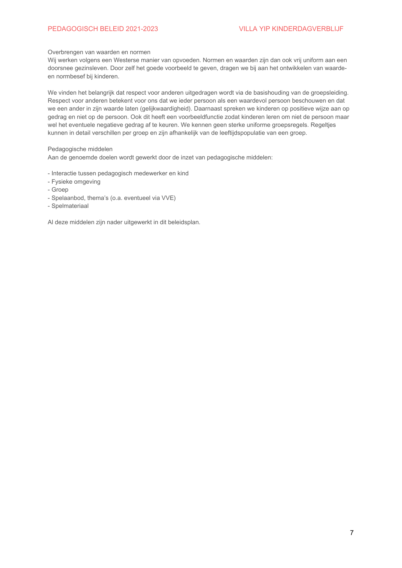## PEDAGOGISCH BELEID 2021-2023

## <span id="page-6-0"></span>Overbrengen van waarden en normen

Wij werken volgens een Westerse manier van opvoeden. Normen en waarden zijn dan ook vrij uniform aan een doorsnee gezinsleven. Door zelf het goede voorbeeld te geven, dragen we bij aan het ontwikkelen van waardeen normbesef bij kinderen.

We vinden het belangrijk dat respect voor anderen uitgedragen wordt via de basishouding van de groepsleiding. Respect voor anderen betekent voor ons dat we ieder persoon als een waardevol persoon beschouwen en dat we een ander in zijn waarde laten (gelijkwaardigheid). Daarnaast spreken we kinderen op positieve wijze aan op gedrag en niet op de persoon. Ook dit heeft een voorbeeldfunctie zodat kinderen leren om niet de persoon maar wel het eventuele negatieve gedrag af te keuren. We kennen geen sterke uniforme groepsregels. Regeltjes kunnen in detail verschillen per groep en zijn afhankelijk van de leeftijdspopulatie van een groep.

<span id="page-6-1"></span>Pedagogische middelen

Aan de genoemde doelen wordt gewerkt door de inzet van pedagogische middelen:

- Interactie tussen pedagogisch medewerker en kind
- Fysieke omgeving
- Groep
- Spelaanbod, thema's (o.a. eventueel via VVE)
- Spelmateriaal

Al deze middelen zijn nader uitgewerkt in dit beleidsplan.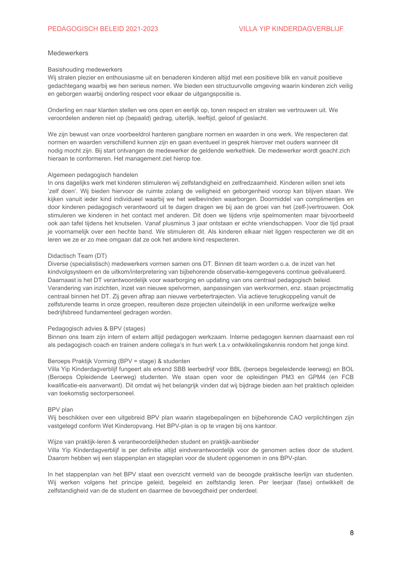#### <span id="page-7-1"></span><span id="page-7-0"></span>Medewerkers

#### Basishouding medewerkers

Wij stralen plezier en enthousiasme uit en benaderen kinderen altijd met een positieve blik en vanuit positieve gedachtegang waarbij we hen serieus nemen. We bieden een structuurvolle omgeving waarin kinderen zich veilig en geborgen waarbij onderling respect voor elkaar de uitgangspositie is.

Onderling en naar klanten stellen we ons open en eerlijk op, tonen respect en stralen we vertrouwen uit. We veroordelen anderen niet op (bepaald) gedrag, uiterlijk, leeftijd, geloof of geslacht.

We zijn bewust van onze voorbeeldrol hanteren gangbare normen en waarden in ons werk. We respecteren dat normen en waarden verschillend kunnen zijn en gaan eventueel in gesprek hierover met ouders wanneer dit nodig mocht zijn. Bij start ontvangen de medewerker de geldende werkethiek. De medewerker wordt geacht zich hieraan te conformeren. Het management ziet hierop toe.

#### <span id="page-7-2"></span>Algemeen pedagogisch handelen

In ons dagelijks werk met kinderen stimuleren wij zelfstandigheid en zelfredzaamheid. Kinderen willen snel iets 'zelf doen'. Wij bieden hiervoor de ruimte zolang de veiligheid en geborgenheid voorop kan blijven staan. We kijken vanuit ieder kind individueel waarbij we het welbevinden waarborgen. Doormiddel van complimenties en door kinderen pedagogisch verantwoord uit te dagen dragen we bij aan de groei van het (zelf-)vertrouwen. Ook stimuleren we kinderen in het contact met anderen. Dit doen we tijdens vrije spelmomenten maar bijvoorbeeld ook aan tafel tijdens het knutselen. Vanaf plusminus 3 jaar ontstaan er echte vriendschappen. Voor die tijd praat je voornamelijk over een hechte band. We stimuleren dit. Als kinderen elkaar niet liggen respecteren we dit en leren we ze er zo mee omgaan dat ze ook het andere kind respecteren.

#### <span id="page-7-3"></span>Didactisch Team (DT)

Diverse (specialistisch) medewerkers vormen samen ons DT. Binnen dit team worden o.a. de inzet van het kindvolgsysteem en de uitkom/interpretering van bijbehorende observatie-kerngegevens continue geëvalueerd. Daarnaast is het DT verantwoordelijk voor waarborging en updating van ons centraal pedagogisch beleid. Verandering van inzichten, inzet van nieuwe spelvormen, aanpassingen van werkvormen, enz. staan projectmatig centraal binnen het DT. Zij geven aftrap aan nieuwe verbetertrajecten. Via actieve terugkoppeling vanuit de zelfsturende teams in onze groepen, resulteren deze projecten uiteindelijk in een uniforme werkwijze welke bedrijfsbreed fundamenteel gedragen worden.

#### <span id="page-7-4"></span>Pedagogisch advies & BPV (stages)

Binnen ons team zijn intern of extern altijd pedagogen werkzaam. Interne pedagogen kennen daarnaast een rol als pedagogisch coach en trainen andere collega's in hun werk t.a.v ontwikkelingskennis rondom het jonge kind.

#### Beroeps Praktijk Vorming (BPV = stage) & studenten

Villa Yip Kinderdagverblijf fungeert als erkend SBB leerbedrijf voor BBL (beroeps begeleidende leerweg) en BOL (Beroeps Opleidende Leerweg) studenten. We staan open voor de opleidingen PM3 en GPM4 (en FCB kwalificatie-eis aanverwant). Dit omdat wij het belangrijk vinden dat wij bijdrage bieden aan het praktisch opleiden van toekomstig sectorpersoneel.

## BPV plan

Wij beschikken over een uitgebreid BPV plan waarin stagebepalingen en bijbehorende CAO verplichtingen zijn vastgelegd conform Wet Kinderopvang. Het BPV-plan is op te vragen bij ons kantoor.

#### Wijze van praktijk-leren & verantwoordelijkheden student en praktijk-aanbieder

Villa Yip Kinderdagverblijf is per definitie altijd eindverantwoordelijk voor de genomen acties door de student. Daarom hebben wij een stappenplan en stageplan voor de student opgenomen in ons BPV-plan.

In het stappenplan van het BPV staat een overzicht vermeld van de beoogde praktische leerlijn van studenten. Wij werken volgens het principe geleid, begeleid en zelfstandig leren. Per leerjaar (fase) ontwikkelt de zelfstandigheid van de de student en daarmee de bevoegdheid per onderdeel.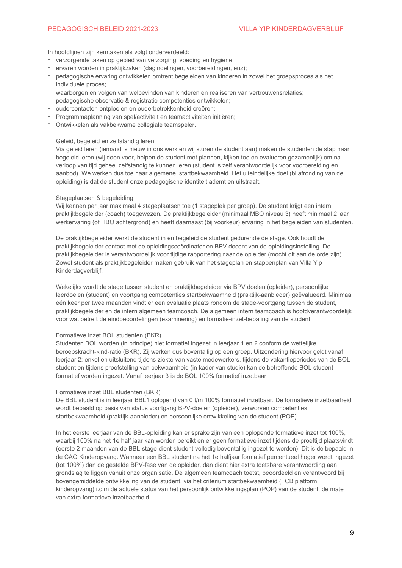## PEDAGOGISCH BELEID 2021-2023

In hoofdlijnen zijn kerntaken als volgt onderverdeeld:

- verzorgende taken op gebied van verzorging, voeding en hygiene;
- ervaren worden in praktijkzaken (dagindelingen, voorbereidingen, enz);
- pedagogische ervaring ontwikkelen omtrent begeleiden van kinderen in zowel het groepsproces als het individuele proces;
- waarborgen en volgen van welbevinden van kinderen en realiseren van vertrouwensrelaties;
- pedagogische observatie & registratie competenties ontwikkelen;
- oudercontacten ontplooien en ouderbetrokkenheid creëren:
- Programmaplanning van spel/activiteit en teamactiviteiten initiëren;
- Ontwikkelen als vakbekwame collegiale teamspeler.

## Geleid, begeleid en zelfstandig leren

Via geleid leren (jemand is nieuw in ons werk en wij sturen de student aan) maken de studenten de stap naar begeleid leren (wij doen voor, helpen de student met plannen, kijken toe en evalueren gezamenlijk) om na verloop van tijd geheel zelfstandig te kunnen leren (student is zelf verantwoordelijk voor voorbereiding en aanbod). We werken dus toe naar algemene startbekwaamheid. Het uiteindelijke doel (bi afronding van de opleiding) is dat de student onze pedagogische identiteit ademt en uitstraalt.

#### Stageplaatsen & begeleiding

Wij kennen per jaar maximaal 4 stageplaatsen toe (1 stageplek per groep). De student krijgt een intern praktijkbegeleider (coach) toegewezen. De praktijkbegeleider (minimaal MBO niveau 3) heeft minimaal 2 jaar werkervaring (of HBO achtergrond) en heeft daarnaast (bij voorkeur) ervaring in het begeleiden van studenten.

De praktijkbegeleider werkt de student in en begeleid de student gedurende de stage. Ook houdt de praktiikbegeleider contact met de opleidingscoördinator en BPV docent van de opleidingsinstelling. De praktijkbegeleider is verantwoordelijk voor tijdige rapportering naar de opleider (mocht dit aan de orde zijn). Zowel student als praktijkbegeleider maken gebruik van het stageplan en stappenplan van Villa Yip Kinderdagverbliif.

Wekelijks wordt de stage tussen student en praktijkbegeleider via BPV doelen (opleider), persoonlijke leerdoelen (student) en voortgang competenties startbekwaamheid (praktijk-aanbieder) geëvalueerd. Minimaal één keer per twee maanden vindt er een evaluatie plaats rondom de stage-voortgang tussen de student. praktijkbegeleider en de intern algemeen teamcoach. De algemeen intern teamcoach is hoofdverantwoordelijk voor wat betreft de eindbeoordelingen (examinering) en formatie-inzet-bepaling van de student.

## Formatieve inzet BOL studenten (BKR)

Studenten BOL worden (in principe) niet formatief ingezet in leerjaar 1 en 2 conform de wettelijke beroepskracht-kind-ratio (BKR). Zij werken dus boventallig op een groep. Uitzondering hiervoor geldt vanaf leeriaar 2: enkel en uitsluitend tijdens ziekte van vaste medewerkers, tijdens de vakantieperiodes van de BOL student en tijdens proefstelling van bekwaamheid (in kader van studie) kan de betreffende BOL student formatief worden ingezet. Vanaf leeriaar 3 is de BOL 100% formatief inzetbaar.

#### Formatieve inzet BBL studenten (BKR)

De BBL student is in leerjaar BBL1 oplopend van 0 t/m 100% formatief inzetbaar. De formatieve inzetbaarheid wordt bepaald op basis van status voortgang BPV-doelen (opleider), verworven competenties startbekwaamheid (praktijk-aanbieder) en persoonlijke ontwikkeling van de student (POP).

In het eerste leerjaar van de BBL-opleiding kan er sprake zijn van een oplopende formatieve inzet tot 100%, waarbij 100% na het 1e half jaar kan worden bereikt en er geen formatieve inzet tijdens de proeftijd plaatsvindt (eerste 2 maanden van de BBL-stage dient student volledig boventallig ingezet te worden). Dit is de bepaald in de CAO Kinderopvang. Wanneer een BBL student na het 1e halfjaar formatief percentueel hoger wordt ingezet (tot 100%) dan de gestelde BPV-fase van de opleider, dan dient hier extra toetsbare verantwoording aan grondslag te liggen vanuit onze organisatie. De algemeen teamcoach toetst, beoordeeld en verantwoord bij bovengemiddelde ontwikkeling van de student, via het criterium startbekwaamheid (FCB platform kinderopvang) i.c.m de actuele status van het persoonlijk ontwikkelingsplan (POP) van de student, de mate van extra formatieve inzetbaarheid.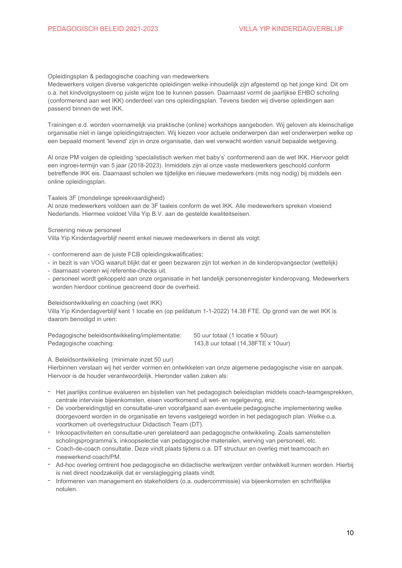#### Opleidingsplan & pedagogische coaching van medewerkers

Medewerkers volgen diverse vakgerichte opleidingen welke inhoudelijk zijn afgestemd op het jonge kind. Dit om o.a. het kindvolgsysteem op juiste wijze toe te kunnen passen. Daarnaast vormt de jaarlijkse EHBO scholing (conformerend aan wet IKK) onderdeel van ons opleidingsplan. Tevens bieden wij diverse opleidingen aan passend binnen de wet IKK.

Trainingen e.d. worden voornamelijk via praktische (online) workshops aangeboden. Wij geloven als kleinschalige organisatie niet in lange opleidingstrajecten. Wij kiezen voor actuele onderwerpen dan wel onderwerpen welke op een bepaald moment 'levend' zijn in onze organisatie, dan wel verwacht worden vanuit bepaalde wetgeving.

Al onze PM volgen de opleiding 'specialistisch werken met baby's' conformerend aan de wet IKK. Hiervoor geldt een ingroei-termijn van 5 jaar (2018-2023). Inmiddels zijn al onze vaste medewerkers geschoold conform betreffende IKK eis. Daarnaast scholen we tijdelijke en nieuwe medewerkers (mits nog nodig) bij middels een online opleidingsplan.

<span id="page-9-0"></span>Taaleis 3F (mondelinge spreekvaardigheid)

Al onze medewerkers voldoen aan de 3F taaleis conform de wet IKK. Alle medewerkers spreken vloeiend Nederlands. Hiermee voldoet Villa Yip B.V. aan de gestelde kwaliteitseisen.

Screening nieuw personeel

Villa Yip Kinderdagverblijf neemt enkel nieuwe medewerkers in dienst als volgt:

- conformerend aan de juiste FCB opleidingskwalificaties;

- in bezit is van VOG waaruit blijkt dat er geen bezwaren zijn tot werken in de kinderopvangsector (wettelijk)
- daarnaast voeren wij referentie-checks uit.
- personeel wordt gekoppeld aan onze organisatie in het landelijk personenregister kinderopyang. Medewerkers worden hierdoor continue gescreend door de overheid.

<span id="page-9-1"></span>Beleidsontwikkeling en coaching (wet IKK)

Villa Yip Kinderdagverblijf kent 1 locatie en (op peildatum 1-1-2022) 14.38 FTE. Op grond van de wet IKK is daarom benodigd in uren:

| Pedagogische beleidsontwikkeling/implementatie: | 50 uur totaal (1 locatie x 50uur)   |
|-------------------------------------------------|-------------------------------------|
| Pedagogische coaching:                          | 143,8 uur totaal (14,38FTE x 10uur) |

A. Beleidsontwikkeling (minimale inzet 50 uur)

Hierbinnen verstaan wij het verder vormen en ontwikkelen van onze algemene pedagogische visie en aanpak. Hiervoor is de houder verantwoordelijk. Hieronder vallen zaken als:

- Het jaarlijks continue evalueren en bijstellen van het pedagogisch beleidsplan middels coach-teamgesprekken, centrale intervisie bijeenkomsten, eisen voortkomend uit wet- en regelgeving, enz.
- De voorbereidingstijd en consultatie-uren voorafgaand aan eventuele pedagogische implementering welke doorgevoerd worden in de organisatie en tevens vastgelegd worden in het pedagogisch plan. Welke o.a. voortkomen uit overlegstructuur Didactisch Team (DT).
- Inkoopactiviteiten en consultatie-uren gerelateerd aan pedagogische ontwikkeling. Zoals samenstellen scholingsprogramma's, inkoopselectie van pedagogische materialen, werving van personeel, etc.
- Coach-de-coach consultatie. Deze vindt plaats tijdens o.a. DT structuur en overleg met teamcoach en meewerkend coach/PM.
- Ad-hoc overleg omtrent hoe pedagogische en didactische werkwijzen verder ontwikkelt kunnen worden. Hierbij is niet direct noodzakelijk dat er verslaglegging plaats vindt.
- Informeren van management en stakeholders (o.a. oudercommissie) via bijeenkomsten en schriftelijke notulen.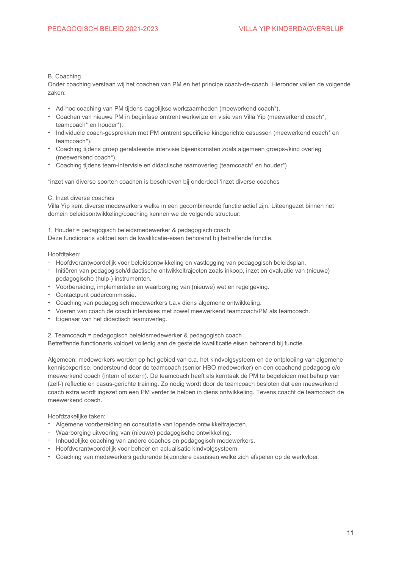## B. Coaching

Onder coaching verstaan wij het coachen van PM en het principe coach-de-coach. Hieronder vallen de volgende zaken:

- Ad-hoc coaching van PM tijdens dagelijkse werkzaamheden (meewerkend coach\*).
- Coachen van nieuwe PM in beginfase omtrent werkwijze en visie van Villa Yip (meewerkend coach\*, teamcoach\* en houder\*).
- Individuele coach-gesprekken met PM omtrent specifieke kindgerichte casussen (meewerkend coach\* en teamcoach\*).
- Coaching tijdens groep gerelateerde intervisie bijeenkomsten zoals algemeen groeps-/kind overleg (meewerkend coach\*).
- Coaching tijdens team-intervisie en didactische teamoverleg (teamcoach\* en houder\*)

\*inzet van diverse soorten coachen is beschreven bij onderdeel 'inzet diverse coaches

## C. Inzet diverse coaches

Villa Yip kent diverse medewerkers welke in een gecombineerde functie actief zijn. Uiteengezet binnen het domein beleidsontwikkeling/coaching kennen we de volgende structuur:

1. Houder = pedagogisch beleidsmedewerker & pedagogisch coach

Deze functionaris voldoet aan de kwalificatie-eisen behorend bij betreffende functie.

## Hoofdtaken:

- Hoofdverantwoordelijk voor beleidsontwikkeling en vastlegging van pedagogisch beleidsplan.
- Initiëren van pedagogisch/didactische ontwikkeltraiecten zoals inkoop, inzet en evaluatie van (nieuwe) pedagogische (hulp-) instrumenten.
- Voorbereiding, implementatie en waarborging van (nieuwe) wet en regelgeving.
- Contactpunt oudercommissie.
- Coaching van pedagogisch medewerkers t.a.y diens algemene ontwikkeling.
- Voeren van coach de coach intervisies met zowel meewerkend teamcoach/PM als teamcoach.
- Eigenaar van het didactisch teamoverleg.
- 2. Teamcoach = pedagogisch beleidsmedewerker & pedagogisch coach

Betreffende functionaris voldoet volledig aan de gestelde kwalificatie eisen behorend bij functie.

Algemeen: medewerkers worden op het gebied van o.a. het kindvolgsysteem en de ontplooiing van algemene kennisexpertise, ondersteund door de teamcoach (senior HBO medewerker) en een coachend pedagoog e/o meewerkend coach (intern of extern). De teamcoach heeft als kerntaak de PM te begeleiden met behulp van (zelf-) reflectie en casus-gerichte training. Zo nodig wordt door de teamcoach besloten dat een meewerkend coach extra wordt ingezet om een PM verder te helpen in diens ontwikkeling. Tevens coacht de teamcoach de meewerkend coach.

## Hoofdzakelijke taken:

- Algemene voorbereiding en consultatie van lopende ontwikkeltrajecten.
- Waarborging uitvoering van (nieuwe) pedagogische ontwikkeling.
- Inhoudelijke coaching van andere coaches en pedagogisch medewerkers.
- Hoofdverantwoordelijk voor beheer en actualisatie kindvolgsysteem
- Coaching van medewerkers gedurende bijzondere casussen welke zich afspelen op de werkvloer.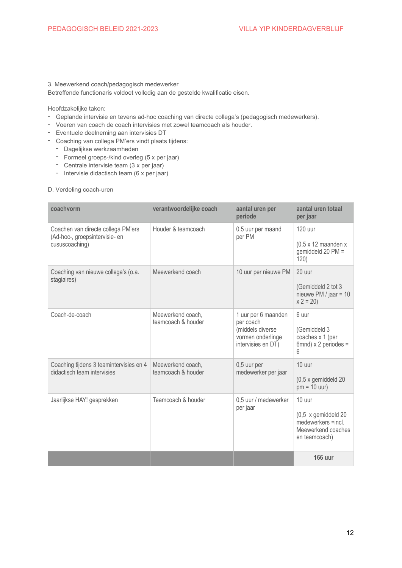## 3. Meewerkend coach/pedagogisch medewerker

Betreffende functionaris voldoet volledig aan de gestelde kwalificatie eisen.

Hoofdzakelijke taken:

- Geplande intervisie en tevens ad-hoc coaching van directe collega's (pedagogisch medewerkers).
- Voeren van coach de coach intervisies met zowel teamcoach als houder.
- Eventuele deelneming aan intervisies DT
- Coaching van collega PM'ers vindt plaats tijdens:
	- Dagelijkse werkzaamheden
	- Formeel groeps-/kind overleg (5 x per jaar)
	- Centrale intervisie team (3 x per jaar)
	- Intervisie didactisch team (6 x per jaar)

## D. Verdeling coach-uren

| coachvorm                                                                              | verantwoordelijke coach                 | aantal uren per<br>periode                           | aantal uren totaal<br>per jaar                                                   |
|----------------------------------------------------------------------------------------|-----------------------------------------|------------------------------------------------------|----------------------------------------------------------------------------------|
| Coachen van directe collega PM'ers<br>(Ad-hoc-, groepsintervisie- en<br>cususcoaching) | Houder & teamcoach                      | 0.5 uur per maand<br>per PM                          | 120 uur<br>$(0.5 \times 12 \text{ maanden x})$                                   |
|                                                                                        |                                         |                                                      | gemiddeld 20 PM =<br>120)                                                        |
| Coaching van nieuwe collega's (o.a.<br>stagiaires)                                     | Meewerkend coach                        | 10 uur per nieuwe PM                                 | 20 uur                                                                           |
|                                                                                        |                                         |                                                      | (Gemiddeld 2 tot 3<br>nieuwe PM / jaar = $10$<br>$x 2 = 20$                      |
| Coach-de-coach                                                                         | Meewerkend coach,<br>teamcoach & houder | 1 uur per 6 maanden<br>per coach<br>(middels diverse | 6 uur<br>(Gemiddeld 3                                                            |
|                                                                                        |                                         | vormen onderlinge<br>intervisies en DT)              | coaches x 1 (per<br>$6$ mnd) x 2 periodes =<br>6                                 |
| Coaching tijdens 3 teamintervisies en 4<br>didactisch team intervisies                 | Meewerkend coach,<br>teamcoach & houder | 0,5 uur per<br>medewerker per jaar                   | 10 uur                                                                           |
|                                                                                        |                                         |                                                      | (0,5 x gemiddeld 20<br>$pm = 10$ uur)                                            |
| Jaarlijkse HAY! gesprekken                                                             | Teamcoach & houder                      | 0,5 uur / medewerker<br>per jaar                     | 10 uur                                                                           |
|                                                                                        |                                         |                                                      | (0,5 x gemiddeld 20<br>medewerkers =incl.<br>Meewerkend coaches<br>en teamcoach) |
|                                                                                        |                                         |                                                      | <b>166 uur</b>                                                                   |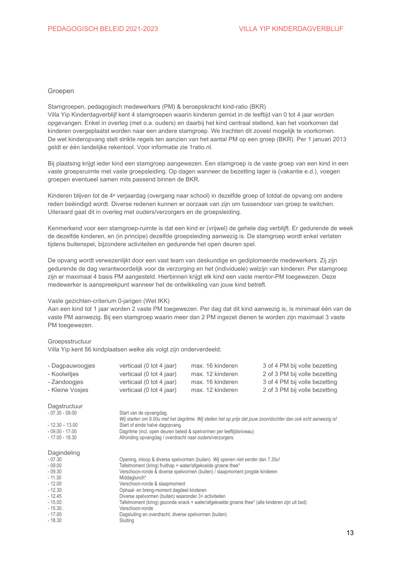#### <span id="page-12-0"></span>Groepen

Stamgroepen, pedagogisch medewerkers (PM) & beroepskracht kind-ratio (BKR) Villa Yip Kinderdagverblijf kent 4 stamgroepen waarin kinderen gemixt in de leeftijd van 0 tot 4 jaar worden opgevangen. Enkel in overleg (met o.a. ouders) en daarbij het kind centraal stellend, kan het voorkomen dat kinderen overgeplaatst worden naar een andere stamgroep. We trachten dit zoveel mogelijk te voorkomen. De wet kinderopyang stelt strikte regels ten aanzien van het aantal PM op een groep (BKR). Per 1 januari 2013 geldt er één landelijke rekentool. Voor informatie zie 1 ratio.nl.

Bij plaatsing krijgt jeder kind een stamgroep aangewezen. Een stamgroep is de vaste groep van een kind in een vaste groepsruimte met vaste groepsleiding. Op dagen wanneer de bezetting lager is (vakantie e.d.), voegen groepen eventueel samen mits passend binnen de BKR.

Kinderen blijven tot de 4<sup>e</sup> verjaardag (overgang naar school) in dezelfde groep of totdat de opvang om andere reden beëindigd wordt. Diverse redenen kunnen er oorzaak van zijn om tussendoor van groep te switchen. Uiteraard gaat dit in overleg met ouders/verzorgers en de groepsleiding.

Kenmerkend voor een stamgroep-ruimte is dat een kind er (vrijwel) de gehele dag verblijft. Er gedurende de week de dezelfde kinderen, en (in principe) dezelfde groepsleiding aanwezig is. De stamgroep wordt enkel verlaten tijdens buitenspel, bijzondere activiteiten en gedurende het open deuren spel.

De opvang wordt verwezenlijkt door een vast team van deskundige en gediplomeerde medewerkers. Zij zijn gedurende de dag verantwoordelijk voor de verzorging en het (individuele) welzijn van kinderen. Per stamgroep zijn er maximaal 4 basis PM aangesteld. Hierbinnen krijgt elk kind een vaste mentor-PM toegewezen. Deze medewerker is aanspreekpunt wanneer het de ontwikkeling van jouw kind betreft.

## <span id="page-12-1"></span>Vaste gezichten-criterium 0-iarigen (Wet IKK)

Aan een kind tot 1 jaar worden 2 vaste PM toegewezen. Per dag dat dit kind aanwezig is, is minimaal één van de vaste PM aanwezig. Bij een stamgroep waarin meer dan 2 PM ingezet dienen te worden zijn maximaal 3 vaste PM toegewezen.

#### <span id="page-12-2"></span>Groepsstructuur

Villa Yip kent 56 kindplaatsen welke als volgt zijn onderverdeeld;

| - Dagpauwoogjes | verticaal (0 tot 4 jaar) | max. 16 kinderen | 3 of 4 PM bij volle bezetting |
|-----------------|--------------------------|------------------|-------------------------------|
| - Koolwitjes    | verticaal (0 tot 4 jaar) | max. 12 kinderen | 2 of 3 PM bij volle bezetting |
| - Zandoogjes    | verticaal (0 tot 4 jaar) | max. 16 kinderen | 3 of 4 PM bij volle bezetting |
| - Kleine Vosjes | verticaal (0 tot 4 jaar) | max. 12 kinderen | 2 of 3 PM bij volle bezetting |

<span id="page-12-4"></span><span id="page-12-3"></span>

| Dagstructuur                                                                                                                                      | Start van de opvangdag.                                                                                                                                                                                                                                                                                                                                                                                                                                                                                                                                                           |
|---------------------------------------------------------------------------------------------------------------------------------------------------|-----------------------------------------------------------------------------------------------------------------------------------------------------------------------------------------------------------------------------------------------------------------------------------------------------------------------------------------------------------------------------------------------------------------------------------------------------------------------------------------------------------------------------------------------------------------------------------|
| $-07.30 - 09.00$                                                                                                                                  | Wij starten om 9.00u met het dagritme. Wij stellen het op prijs dat jouw zoon/dochter dan ook echt aanwezig is!                                                                                                                                                                                                                                                                                                                                                                                                                                                                   |
| $-12.30 - 13.00$                                                                                                                                  | Start of einde halve dagopvang.                                                                                                                                                                                                                                                                                                                                                                                                                                                                                                                                                   |
| $-09.00 - 17.00$                                                                                                                                  | Dagritme (incl. open deuren beleid & spelvormen per leeftijdsniveau)                                                                                                                                                                                                                                                                                                                                                                                                                                                                                                              |
| $-17.00 - 18.30$                                                                                                                                  | Afronding opvangdag / overdracht naar ouders/verzorgers.                                                                                                                                                                                                                                                                                                                                                                                                                                                                                                                          |
| Dagindeling<br>$-07.30$<br>$-09.00$<br>$-09.30$<br>$-11.30$<br>$-12.00$<br>$-12.30$<br>$-12.45$<br>$-15.00$<br>$-15.30$ .<br>$-17.00$<br>$-18.30$ | Opening, inloop & diverse spelvormen (buiten). Wij openen niet eerder dan 7.30u!<br>Tafelmoment (kring) fruithap + water/afgekoelde groene thee*<br>Verschoon-ronde & diverse spelvormen (buiten) / slaapmoment jongste kinderen<br>Middaglunch*<br>Verschoon-ronde & slaapmoment<br>Ophaal- en breng-moment dagdeel kinderen<br>Diverse spelvormen (buiten) waaronder 3+ activiteiten<br>Tafelmoment (kring) gezonde snack + water/afgekoelde groene thee* (alle kinderen zijn uit bed)<br>Verschoon-ronde<br>Dagsluiting en overdracht, diverse spelvormen (buiten)<br>Sluiting |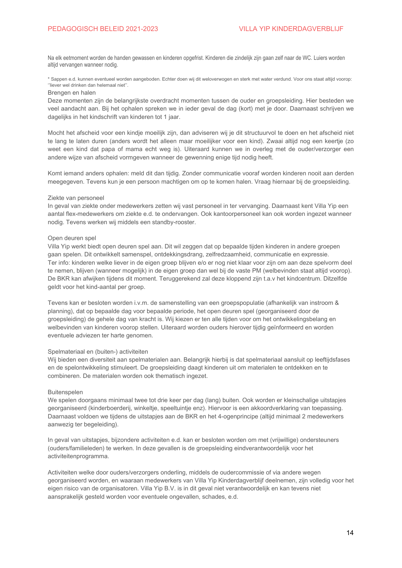Na elk eetmoment worden de handen gewassen en kinderen opgefrist. Kinderen die zindelijk zijn gaan zelf naar de WC. Luiers worden altijd vervangen wanneer nodig.

\* Sappen e.d. kunnen eventueel worden aangeboden. Echter doen wij dit weloverwogen en sterk met water verdund. Voor ons staat altijd voorop: "liever wel drinken dan helemaal niet".

## <span id="page-13-0"></span>Brengen en halen

Deze momenten zijn de belangrijkste overdracht momenten tussen de ouder en groepsleiding. Hier besteden we veel aandacht aan. Bij het ophalen spreken we in ieder geval de dag (kort) met je door. Daarnaast schrijven we dagelijks in het kindschrift van kinderen tot 1 jaar.

Mocht het afscheid voor een kindie moeilijk zijn, dan adviseren wij je dit structuurvol te doen en het afscheid niet te lang te laten duren (anders wordt het alleen maar moeilijker voor een kind). Zwaai altijd nog een keertje (zo weet een kind dat papa of mama echt weg is). Uiteraard kunnen we in overleg met de ouder/verzorger een andere wijze van afscheid vormgeven wanneer de gewenning enige tijd nodig heeft.

Komt iemand anders ophalen: meld dit dan tijdig. Zonder communicatie vooraf worden kinderen nooit aan derden meegegeven. Tevens kun je een persoon machtigen om op te komen halen. Vraag hiernaar bij de groepsleiding.

#### <span id="page-13-1"></span>Ziekte van personeel

In geval van ziekte onder medewerkers zetten wij vast personeel in ter vervanging. Daarnaast kent Villa Yip een aantal flex-medewerkers om ziekte e.d. te ondervangen. Ook kantoorpersoneel kan ook worden ingezet wanneer nodig. Tevens werken wij middels een standby-rooster.

#### <span id="page-13-2"></span>Open deuren spel

Villa Yip werkt biedt open deuren spel aan. Dit wil zeggen dat op bepaalde tijden kinderen in andere groepen gaan spelen. Dit ontwikkelt samenspel, ontdekkingsdrang, zelfredzaamheid, communicatie en expressie. Ter info: kinderen welke liever in de eigen groep blijven e/o er nog niet klaar voor zijn om aan deze spelvorm deel te nemen, blijven (wanneer mogelijk) in de eigen groep dan wel bij de vaste PM (welbevinden staat altijd voorop). De BKR kan afwijken tijdens dit moment. Teruggerekend zal deze kloppend zijn t.a.v het kindcentrum. Ditzelfde geldt voor het kind-aantal per groep.

Tevens kan er besloten worden i.v.m. de samenstelling van een groepspopulatie (afhankelijk van instroom & planning), dat op bepaalde dag voor bepaalde periode, het open deuren spel (georganiseerd door de groepsleiding) de gehele dag van kracht is. Wij kiezen er ten alle tijden voor om het ontwikkelingsbelang en welbevinden van kinderen voorop stellen. Uiteraard worden ouders hierover tijdig geïnformeerd en worden eventuele adviezen ter harte genomen.

#### <span id="page-13-3"></span>Spelmateriaal en (buiten-) activiteiten

Wij bieden een diversiteit aan spelmaterialen aan. Belangrijk hierbij is dat spelmateriaal aansluit op leeftijdsfases en de spelontwikkeling stimuleert. De groepsleiding daagt kinderen uit om materialen te ontdekken en te combineren. De materialen worden ook thematisch ingezet.

#### **Buitenspelen**

We spelen doorgaans minimaal twee tot drie keer per dag (lang) buiten. Ook worden er kleinschalige uitstapjes georganiseerd (kinderboerderij, winkeltje, speeltuintje enz). Hiervoor is een akkoordverklaring van toepassing. Daarnaast voldoen we tijdens de uitstapjes aan de BKR en het 4-ogenprincipe (altijd minimaal 2 medewerkers aanwezig ter begeleiding).

In geval van uitstapies, bijzondere activiteiten e.d. kan er besloten worden om met (vrijwillige) ondersteuners (ouders/familieleden) te werken. In deze gevallen is de groepsleiding eindverantwoordelijk voor het activiteitenprogramma.

Activiteiten welke door ouders/verzorgers onderling, middels de oudercommissie of via andere wegen georganiseerd worden, en waaraan medewerkers van Villa Yip Kinderdagverblijf deelnemen, zijn volledig voor het eigen risico van de organisatoren. Villa Yip B.V. is in dit geval niet verantwoordelijk en kan tevens niet aansprakelijk gesteld worden voor eventuele ongevallen, schades, e.d.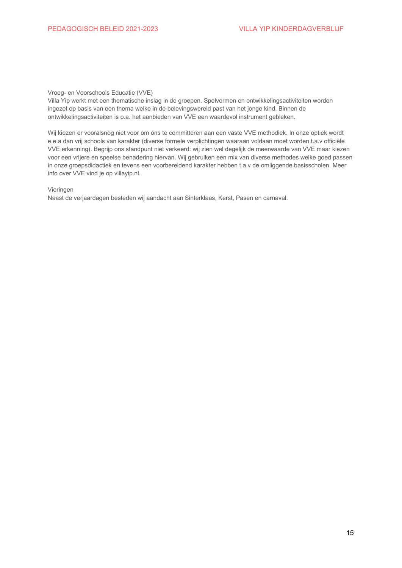#### <span id="page-14-0"></span>Vroeg- en Voorschools Educatie (VVE)

Villa Yip werkt met een thematische inslag in de groepen. Spelvormen en ontwikkelingsactiviteiten worden ingezet op basis van een thema welke in de belevingswereld past van het jonge kind. Binnen de ontwikkelingsactiviteiten is o.a. het aanbieden van VVE een waardevol instrument gebleken.

Wij kiezen er vooralsnog niet voor om ons te committeren aan een vaste VVE methodiek. In onze optiek wordt e.e.a dan vrij schools van karakter (diverse formele verplichtingen waaraan voldaan moet worden t.a.v officiële VVE erkenning). Begrijp ons standpunt niet verkeerd: wij zien wel degelijk de meerwaarde van VVE maar kiezen voor een vrijere en speelse benadering hiervan. Wij gebruiken een mix van diverse methodes welke goed passen in onze groepsdidactiek en tevens een voorbereidend karakter hebben t.a.v de omliggende basisscholen. Meer info over VVE vind je op villayip.nl.

## <span id="page-14-1"></span>Vieringen

Naast de verjaardagen besteden wij aandacht aan Sinterklaas, Kerst, Pasen en carnaval.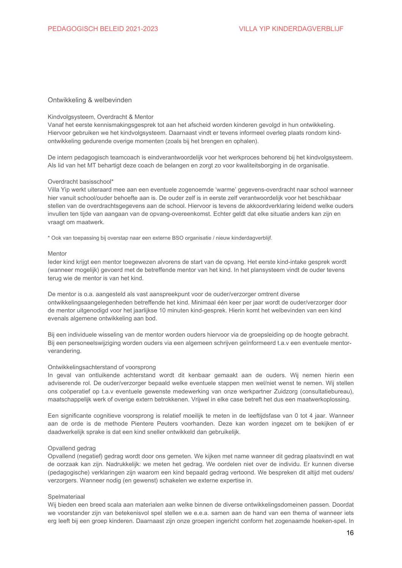## <span id="page-15-1"></span><span id="page-15-0"></span>Ontwikkeling & welbevinden

#### Kindvolgsysteem, Overdracht & Mentor

Vanaf het eerste kennismakingsgesprek tot aan het afscheid worden kinderen gevolgd in hun ontwikkeling. Hiervoor gebruiken we het kindvolgsysteem. Daarnaast vindt er tevens informeel overleg plaats rondom kindontwikkeling gedurende overige momenten (zoals bij het brengen en ophalen).

De intern pedagogisch teamcoach is eindverantwoordelijk voor het werkproces behorend bij het kindvolgsysteem. Als lid van het MT behartigt deze coach de belangen en zorgt zo voor kwaliteitsborging in de organisatie.

#### Overdracht basisschool\*

Villa Yip werkt uiteraard mee aan een eventuele zogenoemde 'warme' gegevens-overdracht naar school wanneer hier vanuit school/ouder behoefte aan is. De ouder zelf is in eerste zelf verantwoordelijk voor het beschikbaar stellen van de overdrachtsgegevens aan de school. Hiervoor is tevens de akkoordverklaring leidend welke ouders invullen ten tijde van aangaan van de opvang-overeenkomst. Echter geldt dat elke situatie anders kan zijn en vraagt om maatwerk.

\* Ook van toepassing bij overstap naar een externe BSO organisatie / nieuw kinderdagverblijf.

#### Mentor

leder kind krijgt een mentor toegewezen alvorens de start van de opvang. Het eerste kind-intake gesprek wordt (wanneer mogelijk) gevoerd met de betreffende mentor van het kind. In het plansysteem vindt de ouder tevens terug wie de mentor is van het kind.

De mentor is o.a. aangesteld als vast aanspreekpunt voor de ouder/verzorger omtrent diverse ontwikkelingsaangelegenheden betreffende het kind. Minimaal één keer per jaar wordt de ouder/verzorger door de mentor uitgenodigd voor het jaarlijkse 10 minuten kind-gesprek. Hierin komt het welbevinden van een kind evenals algemene ontwikkeling aan bod.

Bij een individuele wisseling van de mentor worden ouders hiervoor via de groepsleiding op de hoogte gebracht. Bij een personeelswijziging worden ouders via een algemeen schrijven geïnformeerd t.a.v een eventuele mentorverandering.

#### <span id="page-15-2"></span>Ontwikkelingsachterstand of voorsprong

In geval van ontluikende achterstand wordt dit kenbaar gemaakt aan de ouders. Wij nemen hierin een adviserende rol. De ouder/verzorger bepaald welke eventuele stappen men wel/niet wenst te nemen. Wij stellen ons coöperatief op t.a.v eventuele gewenste medewerking van onze werkpartner Zuidzorg (consultatiebureau), maatschappelijk werk of overige extern betrokkenen. Vrijwel in elke case betreft het dus een maatwerkoplossing.

Een significante cognitieve voorsprong is relatief moeilijk te meten in de leeftijdsfase van 0 tot 4 jaar. Wanneer aan de orde is de methode Pientere Peuters voorhanden. Deze kan worden ingezet om te bekijken of er daadwerkelijk sprake is dat een kind sneller ontwikkeld dan gebruikelijk.

#### <span id="page-15-3"></span>Opvallend gedrag

Opvallend (negatief) gedrag wordt door ons gemeten. We kijken met name wanneer dit gedrag plaatsvindt en wat de oorzaak kan zijn. Nadrukkelijk: we meten het gedrag. We oordelen niet over de individu. Er kunnen diverse (pedagogische) verklaringen zijn waarom een kind bepaald gedrag vertoond. We bespreken dit altijd met ouders/ verzorgers. Wanneer nodig (en gewenst) schakelen we externe expertise in.

#### <span id="page-15-4"></span>Spelmateriaal

Wij bieden een breed scala aan materialen aan welke binnen de diverse ontwikkelingsdomeinen passen. Doordat we voorstander zijn van betekenisvol spel stellen we e.e.a. samen aan de hand van een thema of wanneer iets erg leeft bij een groep kinderen. Daarnaast zijn onze groepen ingericht conform het zogenaamde hoeken-spel. In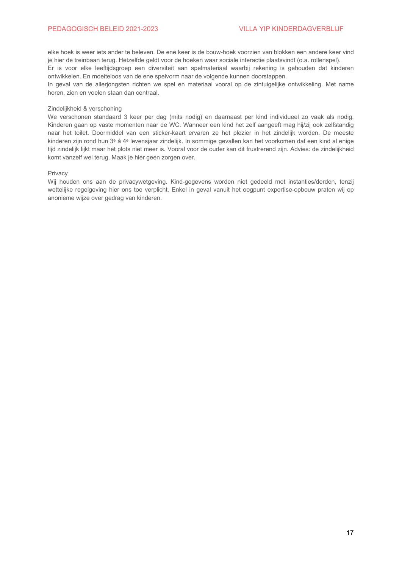## PEDAGOGISCH BELEID 2021-2023

elke hoek is weer iets ander te beleven. De ene keer is de bouw-hoek voorzien van blokken een andere keer vind je hier de treinbaan terug. Hetzelfde geldt voor de hoeken waar sociale interactie plaatsvindt (o.a. rollenspel).

Er is voor elke leeftijdsgroep een diversiteit aan spelmateriaal waarbij rekening is gehouden dat kinderen ontwikkelen. En moeiteloos van de ene spelvorm naar de volgende kunnen doorstappen.

In geval van de allerjongsten richten we spel en materiaal vooral op de zintuigelijke ontwikkeling. Met name horen, zien en voelen staan dan centraal.

## <span id="page-16-0"></span>Zindelijkheid & verschoning

We verschonen standaard 3 keer per dag (mits nodig) en daarnaast per kind individueel zo vaak als nodig. Kinderen gaan op vaste momenten naar de WC. Wanneer een kind het zelf aangeeft mag hij/zij ook zelfstandig naar het toilet. Doormiddel van een sticker-kaart ervaren ze het plezier in het zindelijk worden. De meeste kinderen zijn rond hun 3<sup>e</sup> å 4<sup>e</sup> levensjaar zindelijk. In sommige gevallen kan het voorkomen dat een kind al enige tijd zindelijk lijkt maar het plots niet meer is. Vooral voor de ouder kan dit frustrerend zijn. Advies: de zindelijkheid komt vanzelf wel terug. Maak ie hier geen zorgen over.

#### <span id="page-16-1"></span>Privacy

Wij houden ons aan de privacywetgeving. Kind-gegevens worden niet gedeeld met instanties/derden, tenzij wettelijke regelgeving hier ons toe verplicht. Enkel in geval vanuit het oogpunt expertise-opbouw praten wij op anonieme wijze over gedrag van kinderen.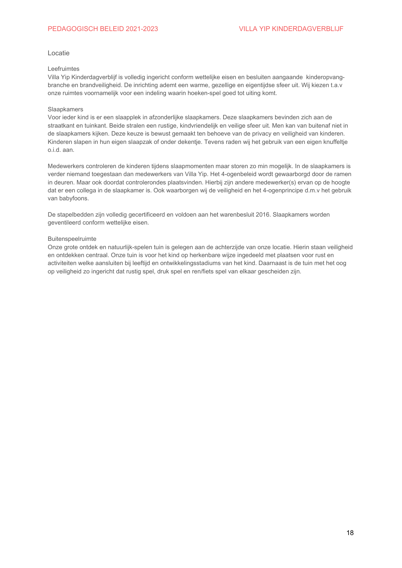## <span id="page-17-0"></span>Locatie

## Leefruimtes

Villa Yip Kinderdagverblijf is volledig ingericht conform wettelijke eisen en besluiten aangaande kinderopvangbranche en brandveiligheid. De inrichting ademt een warme, gezellige en eigentijdse sfeer uit. Wij kiezen t.a.v onze ruimtes voornamelijk voor een indeling waarin hoeken-spel goed tot uiting komt.

## <span id="page-17-1"></span>Slaapkamers

Voor ieder kind is er een slaapplek in afzonderlijke slaapkamers. Deze slaapkamers bevinden zich aan de straatkant en tuinkant. Beide stralen een rustige, kindvriendelijk en veilige sfeer uit. Men kan van buitenaf niet in de slaapkamers kijken. Deze keuze is bewust gemaakt ten behoeve van de privacy en veiligheid van kinderen. Kinderen slapen in hun eigen slaapzak of onder dekentje. Tevens raden wij het gebruik van een eigen knuffeltje o.i.d. aan.

Medewerkers controleren de kinderen tijdens slaapmomenten maar storen zo min mogelijk. In de slaapkamers is verder niemand toegestaan dan medewerkers van Villa Yip. Het 4-ogenbeleid wordt gewaarborgd door de ramen in deuren. Maar ook doordat controlerondes plaatsvinden. Hierbij zijn andere medewerker(s) ervan op de hoogte dat er een collega in de slaapkamer is. Ook waarborgen wij de veiligheid en het 4-ogenprincipe d.m.v het gebruik van babyfoons.

De stapelbedden zijn volledig gecertificeerd en voldoen aan het warenbesluit 2016. Slaapkamers worden geventileerd conform wettelijke eisen.

## <span id="page-17-2"></span>Buitenspeelruimte

Onze grote ontdek en natuurlijk-spelen tuin is gelegen aan de achterzijde van onze locatie. Hierin staan veiligheid en ontdekken centraal. Onze tuin is voor het kind op herkenbare wijze ingedeeld met plaatsen voor rust en activiteiten welke aansluiten bij leeftijd en ontwikkelingsstadiums van het kind. Daarnaast is de tuin met het oog op veiligheid zo ingericht dat rustig spel, druk spel en ren/fiets spel van elkaar gescheiden zijn.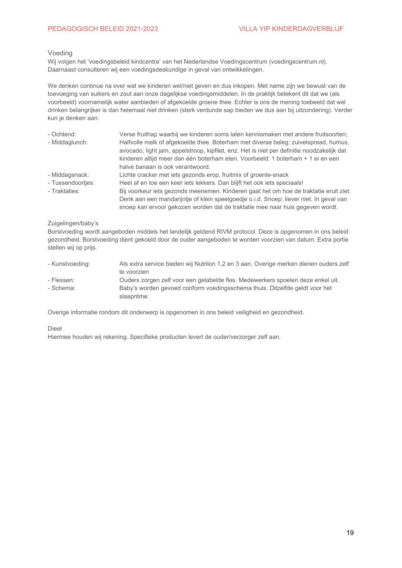## <span id="page-18-0"></span>Voeding

Wij volgen het 'voedingsbeleid kindcentra' van het Nederlandse Voedingscentrum (voedingscentrum.nl). Daarnaast consulteren wij een voedingsdeskundige in geval van ontwikkelingen.

We denken continue na over wat we kinderen wel/niet geven en dus inkopen. Met name zijn we bewust van de toevoeging van suikers en zout aan onze dagelijkse voedingsmiddelen. In de praktijk betekent dit dat we (als voorbeeld) voornamelijk water aanbieden of afgekoelde groene thee. Echter is ons de mening toebeeld dat wel drinken belangrijker is dan helemaal niet drinken (sterk verdunde sap bieden we dus aan bij uitzondering). Verder kun je denken aan:

| - Ochtend:        | Verse fruithap waarbij we kinderen soms laten kennismaken met andere fruitsoorten;                                                                                                                                                                                                                       |
|-------------------|----------------------------------------------------------------------------------------------------------------------------------------------------------------------------------------------------------------------------------------------------------------------------------------------------------|
| - Middaglunch:    | Halfvolle melk of afgekoelde thee. Boterham met diverse beleg: zuivelspread, humus,<br>avocado, light jam, appelstroop, kipfilet, enz. Het is niet per definitie noodzakelijk dat<br>kinderen altijd meer dan één boterham eten. Voorbeeld: 1 boterham + 1 ei en een<br>halve banaan is ook verantwoord. |
| - Middagsnack:    | Lichte cracker met jets gezonds erop, fruitmix of groente-snack                                                                                                                                                                                                                                          |
| - Tussendoortjes: | Heel af en toe een keer iets lekkers. Dan blijft het ook iets speciaals!                                                                                                                                                                                                                                 |
| - Traktaties:     | Bij voorkeur iets gezonds meenemen. Kinderen gaat het om hoe de traktatie eruit ziet.                                                                                                                                                                                                                    |
|                   | Denk aan een mandarijntje of klein speelgoedje o.i.d. Snoep: liever niet. In geval van                                                                                                                                                                                                                   |
|                   | snoep kan ervoor gekozen worden dat de traktatie mee naar huis gegeven wordt.                                                                                                                                                                                                                            |

## <span id="page-18-1"></span>Zuigelingen/baby's

Borstvoeding wordt aangeboden middels het landelijk geldend RIVM protocol. Deze is opgenomen in ons beleid gezondheid. Borstvoeding dient gekoeld door de ouder aangeboden te worden voorzien van datum. Extra portie stellen wij op prijs.

| - Kunstvoeding: | Als extra service bieden wij Nutrilon 1,2 en 3 aan. Overige merken dienen ouders zelf |
|-----------------|---------------------------------------------------------------------------------------|
|                 | te voorzien                                                                           |
| - Flessen:      | Ouders zorgen zelf voor een gelabelde fles. Medewerkers spoelen deze enkel uit.       |
| - Schema:       | Baby's worden gevoed conform voedingsschema thuis. Ditzelfde geldt voor het           |
|                 | slaapritme.                                                                           |

Overige informatie rondom dit onderwerp is opgenomen in ons beleid veiligheid en gezondheid.

#### <span id="page-18-2"></span>**Dieet**

Hiermee houden wij rekening. Specifieke producten levert de ouder/verzorger zelf aan.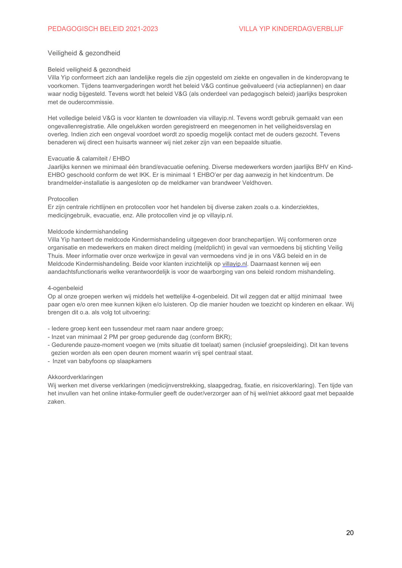## <span id="page-19-1"></span><span id="page-19-0"></span>Veiligheid & gezondheid

## Beleid veiligheid & gezondheid

Villa Yip conformeert zich aan landelijke regels die zijn opgesteld om ziekte en ongevallen in de kinderopvang te voorkomen. Tijdens teamvergaderingen wordt het beleid V&G continue geëvalueerd (via actieplannen) en daar waar nodig bijgesteld. Tevens wordt het beleid V&G (als onderdeel van pedagogisch beleid) jaarlijks besproken met de oudercommissie.

Het volledige beleid V&G is voor klanten te downloaden via villayip.nl. Tevens wordt gebruik gemaakt van een ongevallenregistratie. Alle ongelukken worden geregistreerd en meegenomen in het veiligheidsverslag en overleg. Indien zich een ongeval voordoet wordt zo spoedig mogelijk contact met de ouders gezocht. Tevens benaderen wij direct een huisarts wanneer wij niet zeker zijn van een bepaalde situatie.

## Evacuatie & calamiteit / EHBO

Jaarlijks kennen we minimaal één brand/evacuatie oefening. Diverse medewerkers worden jaarlijks BHV en Kind-EHBO geschoold conform de wet IKK. Er is minimaal 1 EHBO'er per dag aanwezig in het kindcentrum. De brandmelder-installatie is aangesloten op de meldkamer van brandweer Veldhoven.

#### <span id="page-19-2"></span>Protocollen

Er zijn centrale richtlijnen en protocollen voor het handelen bij diverse zaken zoals o.a. kinderziektes, medicijngebruik, evacuatie, enz. Alle protocollen vind je op villayip.nl.

## Meldcode kindermishandeling

Villa Yip hanteert de meldcode Kindermishandeling uitgegeven door branchepartijen. Wij conformeren onze organisatie en medewerkers en maken direct melding (meldplicht) in geval van vermoedens bij stichting Veilig Thuis. Meer informatie over onze werkwijze in geval van vermoedens vind je in ons V&G beleid en in de Meldcode Kindermishandeling. Beide voor klanten inzichtelijk op villayip.nl. Daarnaast kennen wij een aandachtsfunctionaris welke verantwoordelijk is voor de waarborging van ons beleid rondom mishandeling.

## 4-ogenbeleid

Op al onze groepen werken wij middels het wettelijke 4-ogenbeleid. Dit wil zeggen dat er altijd minimaal twee paar ogen e/o oren mee kunnen kijken e/o luisteren. Op die manier houden we toezicht op kinderen en elkaar. Wij brengen dit o.a. als volg tot uitvoering:

- ledere groep kent een tussendeur met raam naar andere groep;
- Inzet van minimaal 2 PM per groep gedurende dag (conform BKR);
- Gedurende pauze-moment voegen we (mits situatie dit toelaat) samen (inclusief groepsleiding). Dit kan tevens gezien worden als een open deuren moment waarin vrij spel centraal staat.
- Inzet van babyfoons op slaapkamers

#### <span id="page-19-3"></span>Akkoordverklaringen

Wij werken met diverse verklaringen (medicijnverstrekking, slaapgedrag, fixatie, en risicoverklaring). Ten tijde van het invullen van het online intake-formulier geeft de ouder/verzorger aan of hij wel/niet akkoord gaat met bepaalde zaken.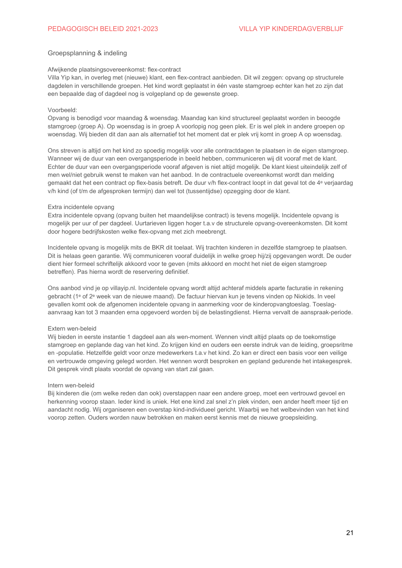## <span id="page-20-0"></span>Groepsplanning & indeling

#### Afwijkende plaatsingsovereenkomst: flex-contract

Villa Yip kan, in overleg met (nieuwe) klant, een flex-contract aanbieden. Dit wil zeggen: opvang op structurele dagdelen in verschillende groepen. Het kind wordt geplaatst in één vaste stamgroep echter kan het zo zijn dat een bepaalde dag of dagdeel nog is volgepland op de gewenste groep.

## Voorbeeld:

Opvang is benodigd voor maandag & woensdag. Maandag kan kind structureel geplaatst worden in beoogde stamgroep (groep A). Op woensdag is in groep A voorlopig nog geen plek. Er is wel plek in andere groepen op woensdag. Wij bieden dit dan aan als alternatief tot het moment dat er plek vrij komt in groep A op woensdag.

Ons streven is altijd om het kind zo spoedig mogelijk voor alle contractdagen te plaatsen in de eigen stamgroep. Wanneer wij de duur van een overgangsperiode in beeld hebben, communiceren wij dit vooraf met de klant. Echter de duur van een overgangsperiode vooraf afgeven is niet altijd mogelijk. De klant kiest uiteindelijk zelf of men wel/niet gebruik wenst te maken van het aanbod. In de contractuele overeenkomst wordt dan melding gemaakt dat het een contract op flex-basis betreft. De duur v/h flex-contract loopt in dat geval tot de 4<sup>e</sup> verjaardag v/h kind (of t/m de afgesproken termijn) dan wel tot (tussentijdse) opzegging door de klant.

#### Extra incidentele opvang

Extra incidentele opvang (opvang buiten het maandelijkse contract) is tevens mogelijk. Incidentele opvang is mogelijk per uur of per dagdeel. Uurtarieven liggen hoger t.a.v de structurele opvang-overeenkomsten. Dit komt door hogere bedrijfskosten welke flex-opvang met zich meebrengt.

Incidentele opvang is mogelijk mits de BKR dit toelaat. Wij trachten kinderen in dezelfde stamgroep te plaatsen. Dit is helaas geen garantie. Wij communiceren vooraf duidelijk in welke groep hij/zij opgevangen wordt. De ouder dient hier formeel schriftelijk akkoord voor te geven (mits akkoord en mocht het niet de eigen stamgroep betreffen). Pas hierna wordt de reservering definitief.

Ons aanbod vind je op villayip.nl. Incidentele opvang wordt altijd achteraf middels aparte facturatie in rekening gebracht (1<sup>e</sup> of 2<sup>e</sup> week van de nieuwe maand). De factuur hiervan kun je tevens vinden op Niokids. In veel gevallen komt ook de afgenomen incidentele opvang in aanmerking voor de kinderopvangtoeslag. Toeslagaanvraag kan tot 3 maanden erna opgevoerd worden bij de belastingdienst. Hierna vervalt de aanspraak-periode.

#### Extern wen-beleid

Wij bieden in eerste instantie 1 dagdeel aan als wen-moment. Wennen vindt altijd plaats op de toekomstige stamgroep en geplande dag van het kind. Zo krijgen kind en ouders een eerste indruk van de leiding, groepsritme en -populatie. Hetzelfde geldt voor onze medewerkers t.a.v het kind. Zo kan er direct een basis voor een veilige en vertrouwde omgeving gelegd worden. Het wennen wordt besproken en gepland gedurende het intakegesprek. Dit gesprek vindt plaats voordat de opvang van start zal gaan.

## Intern wen-beleid

Bij kinderen die (om welke reden dan ook) overstappen naar een andere groep, moet een vertrouwd gevoel en herkenning voorop staan. Ieder kind is uniek. Het ene kind zal snel z'n plek vinden, een ander heeft meer tijd en aandacht nodig. Wij organiseren een overstap kind-individueel gericht. Waarbij we het welbevinden van het kind voorop zetten. Ouders worden nauw betrokken en maken eerst kennis met de nieuwe groepsleiding.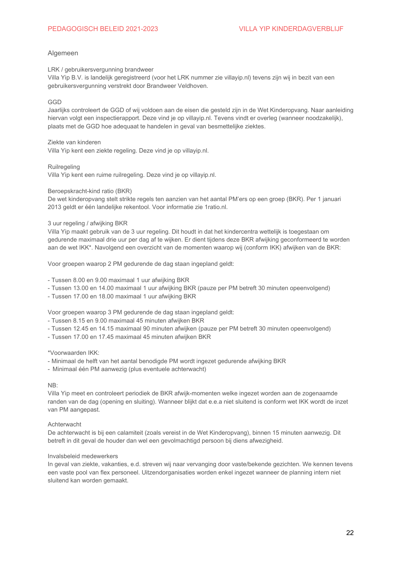## <span id="page-21-0"></span>Algemeen

<span id="page-21-1"></span>LRK / gebruikersvergunning brandweer

Villa Yip B.V. is landelijk geregistreerd (voor het LRK nummer zie villayip.nl) tevens zijn wij in bezit van een gebruikersvergunning verstrekt door Brandweer Veldhoven.

## <span id="page-21-2"></span>GGD

Jaarlijks controleert de GGD of wij voldoen aan de eisen die gesteld zijn in de Wet Kinderopvang. Naar aanleiding hiervan volgt een inspectierapport. Deze vind je op villayip.nl. Tevens vindt er overleg (wanneer noodzakelijk), plaats met de GGD hoe adequaat te handelen in geval van besmettelijke ziektes.

## <span id="page-21-3"></span>Ziekte van kinderen

Villa Yip kent een ziekte regeling. Deze vind je op villayip.nl.

## <span id="page-21-4"></span>Ruilregeling

Villa Yip kent een ruime ruilregeling. Deze vind je op villayip.nl.

## <span id="page-21-5"></span>Beroepskracht-kind ratio (BKR)

De wet kinderopvang stelt strikte regels ten aanzien van het aantal PM'ers op een groep (BKR). Per 1 januari 2013 geldt er één landelijke rekentool. Voor informatie zie 1ratio.nl.

## <span id="page-21-6"></span>3 uur regeling / afwijking BKR

Villa Yip maakt gebruik van de 3 uur regeling. Dit houdt in dat het kindercentra wettelijk is toegestaan om gedurende maximaal drie uur per dag af te wijken. Er dient tijdens deze BKR afwijking geconformeerd te worden aan de wet IKK\*. Navolgend een overzicht van de momenten waarop wij (conform IKK) afwijken van de BKR:

Voor groepen waarop 2 PM gedurende de dag staan ingepland geldt:

- Tussen 8.00 en 9.00 maximaal 1 uur afwijking BKR

- Tussen 13.00 en 14.00 maximaal 1 uur afwijking BKR (pauze per PM betreft 30 minuten opeenvolgend)
- Tussen 17.00 en 18.00 maximaal 1 uur afwijking BKR

Voor groepen waarop 3 PM gedurende de dag staan ingepland geldt:

- Tussen 8.15 en 9.00 maximaal 45 minuten afwijken BKR
- Tussen 12.45 en 14.15 maximaal 90 minuten afwijken (pauze per PM betreft 30 minuten opeenvolgend)
- Tussen 17.00 en 17.45 maximaal 45 minuten afwijken BKR

## \*Voorwaarden IKK:

- Minimaal de helft van het aantal benodigde PM wordt ingezet gedurende afwijking BKR
- Minimaal één PM aanwezig (plus eventuele achterwacht)

## $NB:$

Villa Yip meet en controleert periodiek de BKR afwijk-momenten welke ingezet worden aan de zogenaamde randen van de dag (opening en sluiting). Wanneer blijkt dat e.e.a niet sluitend is conform wet IKK wordt de inzet van PM aangepast.

## <span id="page-21-7"></span>Achterwacht

De achterwacht is bij een calamiteit (zoals vereist in de Wet Kinderopvang), binnen 15 minuten aanwezig. Dit betreft in dit geval de houder dan wel een gevolmachtigd persoon bij diens afwezigheid.

## <span id="page-21-8"></span>Invalsbeleid medewerkers

In geval van ziekte, vakanties, e.d. streven wij naar vervanging door vaste/bekende gezichten. We kennen tevens een vaste pool van flex personeel. Uitzendorganisaties worden enkel ingezet wanneer de planning intern niet sluitend kan worden gemaakt.